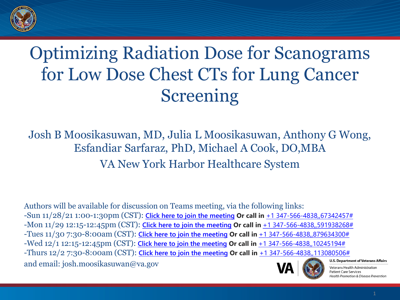

### Optimizing Radiation Dose for Scanograms for Low Dose Chest CTs for Lung Cancer Screening

Josh B Moosikasuwan, MD, Julia L Moosikasuwan, Anthony G Wong, Esfandiar Sarfaraz, PhD, Michael A Cook, DO,MBA VA New York Harbor Healthcare System

Authors will be available for discussion on Teams meeting, via the following links: -Sun 11/28/21 1:00-1:30pm (CST): **[Click here to join the meeting](https://teams.microsoft.com/l/meetup-join/19%3ameeting_YzBkMDk4ZWItYzIwYS00Zjc5LTg2NzEtZmZjMGI1ODQ1OTlk%40thread.v2/0?context=%7b%22Tid%22%3a%22e95f1b23-abaf-45ee-821d-b7ab251ab3bf%22%2c%22Oid%22%3a%22279e0f8b-3e4e-4937-98f8-5eb52dc81370%22%7d) Or call in** [+1 347-566-4838,,67342457#](tel:+13475664838,,67342457#%20) -Mon 11/29 12:15-12:45pm (CST): **[Click here to join the meeting](https://teams.microsoft.com/l/meetup-join/19%3ameeting_Y2QzZDI4YzktOWMwYi00YTRkLThmZTktOTcwM2YzNGYxZWQ0%40thread.v2/0?context=%7b%22Tid%22%3a%22e95f1b23-abaf-45ee-821d-b7ab251ab3bf%22%2c%22Oid%22%3a%22279e0f8b-3e4e-4937-98f8-5eb52dc81370%22%7d) Or call in** [+1 347-566-4838,,591938268#](tel:+13475664838,,591938268#%20) -Tues 11/30 7:30-8:00am (CST): **[Click here to join the meeting](https://teams.microsoft.com/l/meetup-join/19%3ameeting_NmVjOTQ3ZTYtZmIwOS00NTc5LWJmMGMtMzMzMTk2ZDFiM2Nl%40thread.v2/0?context=%7b%22Tid%22%3a%22e95f1b23-abaf-45ee-821d-b7ab251ab3bf%22%2c%22Oid%22%3a%22279e0f8b-3e4e-4937-98f8-5eb52dc81370%22%7d) Or call in** [+1 347-566-4838,,879634300#](tel:+13475664838,,879634300#%20) -Wed 12/1 12:15-12:45pm (CST): **[Click here to join the meeting](https://teams.microsoft.com/l/meetup-join/19%3ameeting_ZGJmZGIzM2EtM2IxNi00NjYyLThmMTktOGEwMWRlMjg5MzIy%40thread.v2/0?context=%7b%22Tid%22%3a%22e95f1b23-abaf-45ee-821d-b7ab251ab3bf%22%2c%22Oid%22%3a%22279e0f8b-3e4e-4937-98f8-5eb52dc81370%22%7d) Or call in** [+1 347-566-4838,,10245194#](tel:+13475664838,,10245194#%20) -Thurs 12/2 7:30-8:00am (CST): **[Click here to join the meeting](https://teams.microsoft.com/l/meetup-join/19%3ameeting_YWY3OGI4ZDQtNDM5OS00M2M0LWIyOTYtYjBkM2QxMTQ1YzYw%40thread.v2/0?context=%7b%22Tid%22%3a%22e95f1b23-abaf-45ee-821d-b7ab251ab3bf%22%2c%22Oid%22%3a%22279e0f8b-3e4e-4937-98f8-5eb52dc81370%22%7d) Or call in** [+1 347-566-4838,,113080506#](tel:+13475664838,,113080506#%20) and email: josh.moosikasuwan@va.gov



#### **U.S. Department of Veterans Affairs**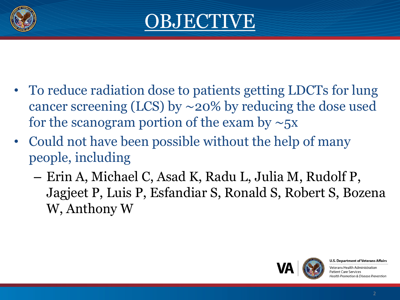



- To reduce radiation dose to patients getting LDCTs for lung cancer screening (LCS) by ∼20% by reducing the dose used for the scanogram portion of the exam by ∼5x
- Could not have been possible without the help of many people, including
	- Erin A, Michael C, Asad K, Radu L, Julia M, Rudolf P, Jagjeet P, Luis P, Esfandiar S, Ronald S, Robert S, Bozena W, Anthony W



**U.S. Department of Veterans Affairs**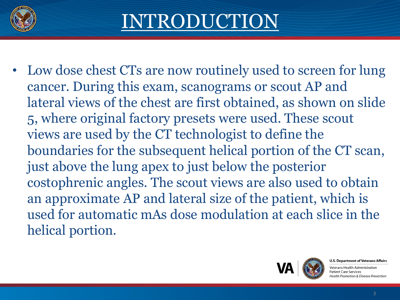

# INTRODUCTION

• Low dose chest CTs are now routinely used to screen for lung cancer. During this exam, scanograms or scout AP and lateral views of the chest are first obtained, as shown on slide 5, where original factory presets were used. These scout views are used by the CT technologist to define the boundaries for the subsequent helical portion of the CT scan, just above the lung apex to just below the posterior costophrenic angles. The scout views are also used to obtain an approximate AP and lateral size of the patient, which is used for automatic mAs dose modulation at each slice in the helical portion.



**U.S. Department of Veterans Affairs**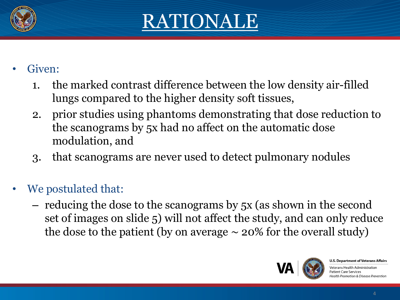

### RATIONALE

### Given:

- 1. the marked contrast difference between the low density air-filled lungs compared to the higher density soft tissues,
- 2. prior studies using phantoms demonstrating that dose reduction to the scanograms by 5x had no affect on the automatic dose modulation, and
- 3. that scanograms are never used to detect pulmonary nodules
- We postulated that:
	- reducing the dose to the scanograms by 5x (as shown in the second set of images on slide 5) will not affect the study, and can only reduce the dose to the patient (by on average  $\sim$  20% for the overall study)



**U.S. Department of Veterans Affairs**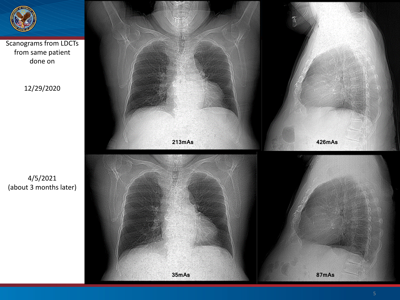

Scanograms from LDCTs from same patient done on

12/29/2020

4/5/2021 (about 3 months later)

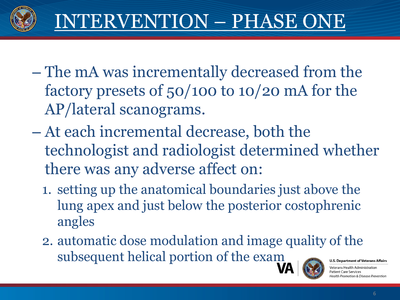

- The mA was incrementally decreased from the factory presets of 50/100 to 10/20 mA for the AP/lateral scanograms.
- At each incremental decrease, both the technologist and radiologist determined whether there was any adverse affect on:
	- 1. setting up the anatomical boundaries just above the lung apex and just below the posterior costophrenic angles
	- 2. automatic dose modulation and image quality of the subsequent helical portion of the exam**U.S. Department of Veterans Affairs**

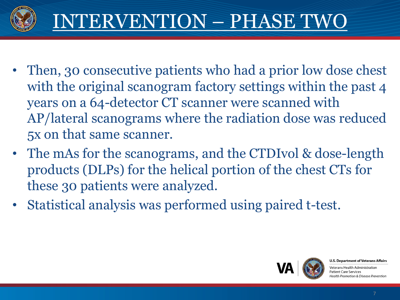

- Then, 30 consecutive patients who had a prior low dose chest with the original scanogram factory settings within the past 4 years on a 64-detector CT scanner were scanned with AP/lateral scanograms where the radiation dose was reduced 5x on that same scanner.
- The mAs for the scanograms, and the CTDIvol & dose-length products (DLPs) for the helical portion of the chest CTs for these 30 patients were analyzed.
- Statistical analysis was performed using paired t-test.



**U.S. Department of Veterans Affairs**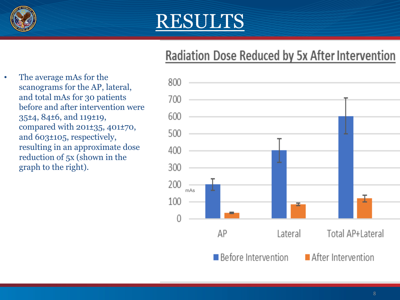

### RESULTS

### **Radiation Dose Reduced by 5x After Intervention**

• The average mAs for the scanograms for the AP, lateral, and total mAs for 30 patients before and after intervention were 35±4, 84±6, and 119±19, compared with 201±35, 401±70, and 603±105, respectively, resulting in an approximate dose reduction of 5x (shown in the graph to the right).

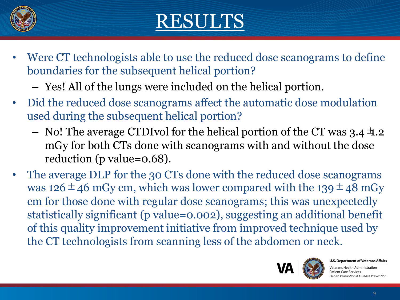

## RESULTS

- Were CT technologists able to use the reduced dose scanograms to define boundaries for the subsequent helical portion?
	- Yes! All of the lungs were included on the helical portion.
- Did the reduced dose scanograms affect the automatic dose modulation used during the subsequent helical portion?
	- No! The average CTDIvol for the helical portion of the CT was  $3.4\pm 0.2$ mGy for both CTs done with scanograms with and without the dose reduction (p value=0.68).
- The average DLP for the 30 CTs done with the reduced dose scanograms was 126 $\pm$ 46 mGy cm, which was lower compared with the 139 $\pm$ 48 mGy cm for those done with regular dose scanograms; this was unexpectedly statistically significant (p value=0.002), suggesting an additional benefit of this quality improvement initiative from improved technique used by the CT technologists from scanning less of the abdomen or neck.